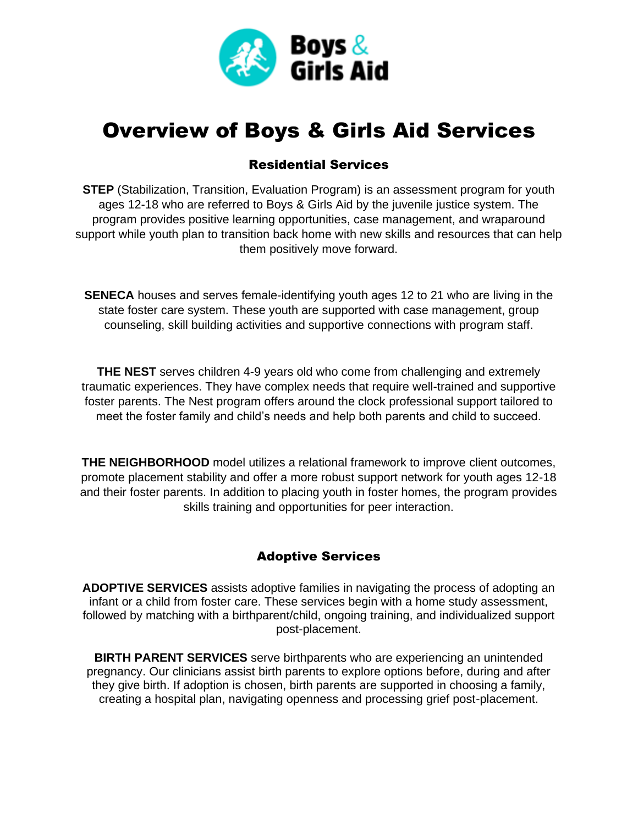

# Overview of Boys & Girls Aid Services

## Residential Services

**STEP** (Stabilization, Transition, Evaluation Program) is an assessment program for youth ages 12-18 who are referred to Boys & Girls Aid by the juvenile justice system. The program provides positive learning opportunities, case management, and wraparound support while youth plan to transition back home with new skills and resources that can help them positively move forward.

**SENECA** houses and serves female-identifying youth ages 12 to 21 who are living in the state foster care system. These youth are supported with case management, group counseling, skill building activities and supportive connections with program staff.

**THE NEST** serves children 4-9 years old who come from challenging and extremely traumatic experiences. They have complex needs that require well-trained and supportive foster parents. The Nest program offers around the clock professional support tailored to meet the foster family and child's needs and help both parents and child to succeed.

**THE NEIGHBORHOOD** model utilizes a relational framework to improve client outcomes, promote placement stability and offer a more robust support network for youth ages 12-18 and their foster parents. In addition to placing youth in foster homes, the program provides skills training and opportunities for peer interaction.

## Adoptive Services

**ADOPTIVE SERVICES** assists adoptive families in navigating the process of adopting an infant or a child from foster care. These services begin with a home study assessment, followed by matching with a birthparent/child, ongoing training, and individualized support post-placement.

**BIRTH PARENT SERVICES** serve birthparents who are experiencing an unintended pregnancy. Our clinicians assist birth parents to explore options before, during and after they give birth. If adoption is chosen, birth parents are supported in choosing a family, creating a hospital plan, navigating openness and processing grief post-placement.